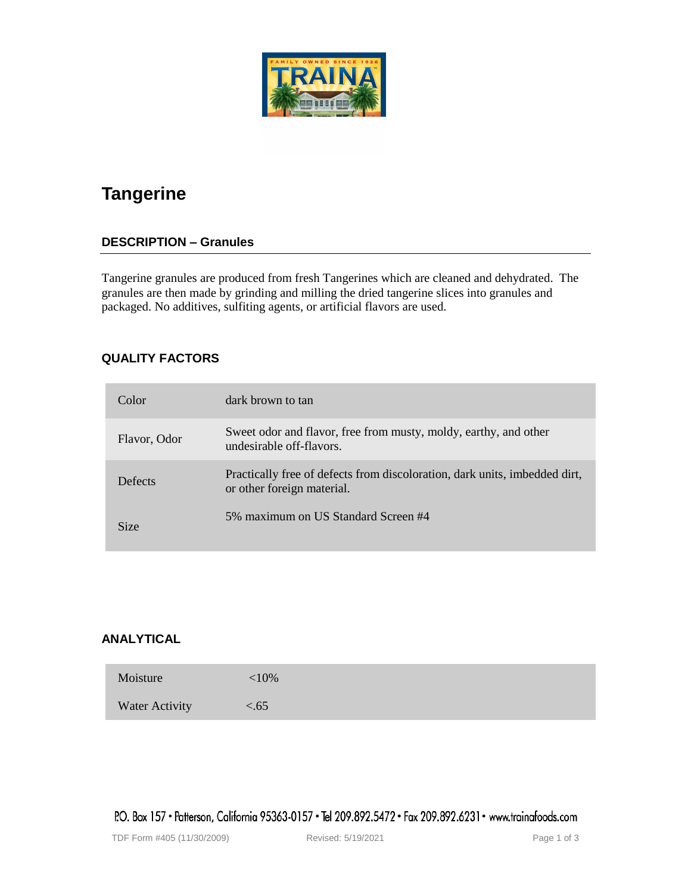# **Tangerine**

## **DESCRIPTION – Granules**

Tangerine granules are produced from fresh Tangerines which are cleaned and dehydrated. The granules are then made by grinding and milling the dried tangerine slices into granules and packaged. No additives, sulfiting agents, or artificial flavors are used.

## **QUALITY FACTORS**

| Color        | dark brown to tan                                                                                        |
|--------------|----------------------------------------------------------------------------------------------------------|
| Flavor, Odor | Sweet odor and flavor, free from musty, moldy, earthy, and other<br>undesirable off-flavors.             |
| Defects      | Practically free of defects from discoloration, dark units, imbedded dirt,<br>or other foreign material. |
| <b>Size</b>  | 5% maximum on US Standard Screen #4                                                                      |

## **ANALYTICAL**

| Moisture       | ${<}10\%$ |
|----------------|-----------|
| Water Activity | < 65      |

P.O. Box 157 • Patterson, California 95363-0157 • Tel 209.892.5472 • Fax 209.892.6231 • www.trainafoods.com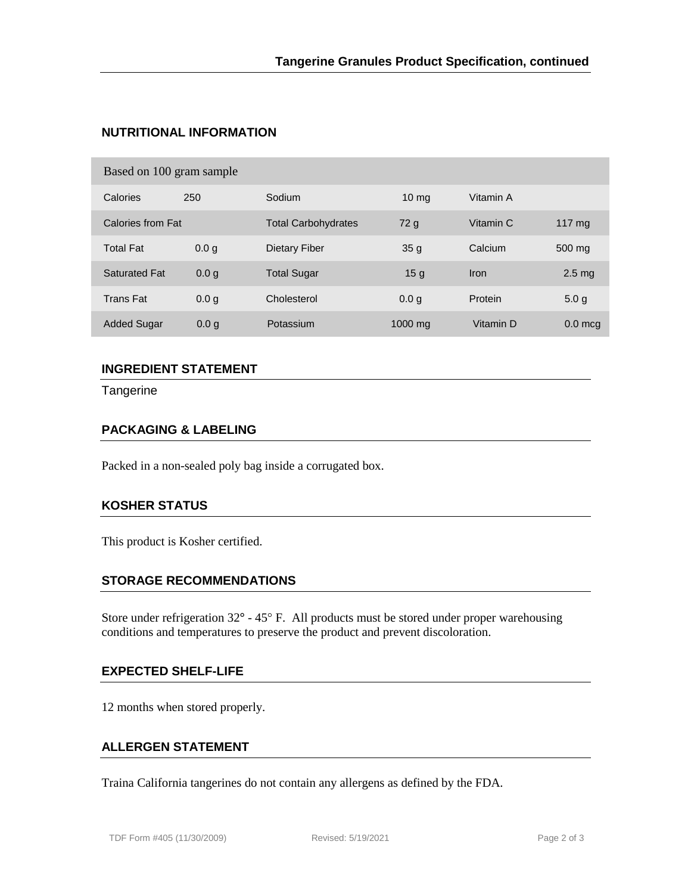# **NUTRITIONAL INFORMATION**

| Based on 100 gram sample |                  |                            |                  |           |                   |  |  |
|--------------------------|------------------|----------------------------|------------------|-----------|-------------------|--|--|
| Calories                 | 250              | Sodium                     | 10 <sub>mg</sub> | Vitamin A |                   |  |  |
| Calories from Fat        |                  | <b>Total Carbohydrates</b> | 72g              | Vitamin C | $117 \text{ ma}$  |  |  |
| <b>Total Fat</b>         | 0.0 <sub>q</sub> | Dietary Fiber              | 35 <sub>q</sub>  | Calcium   | 500 mg            |  |  |
| <b>Saturated Fat</b>     | 0.0 <sub>a</sub> | <b>Total Sugar</b>         | 15 <sub>g</sub>  | Iron      | 2.5 <sub>mg</sub> |  |  |
| <b>Trans Fat</b>         | 0.0 g            | Cholesterol                | 0.0 <sub>q</sub> | Protein   | 5.0 <sub>g</sub>  |  |  |
| <b>Added Sugar</b>       | 0.0 <sub>q</sub> | Potassium                  | 1000 mg          | Vitamin D | $0.0$ mcq         |  |  |
|                          |                  |                            |                  |           |                   |  |  |

# **INGREDIENT STATEMENT**

**Tangerine** 

#### **PACKAGING & LABELING**

Packed in a non-sealed poly bag inside a corrugated box.

#### **KOSHER STATUS**

This product is Kosher certified.

#### **STORAGE RECOMMENDATIONS**

Store under refrigeration  $32^{\circ}$  -  $45^{\circ}$  F. All products must be stored under proper warehousing conditions and temperatures to preserve the product and prevent discoloration.

#### **EXPECTED SHELF-LIFE**

12 months when stored properly.

#### **ALLERGEN STATEMENT**

Traina California tangerines do not contain any allergens as defined by the FDA.